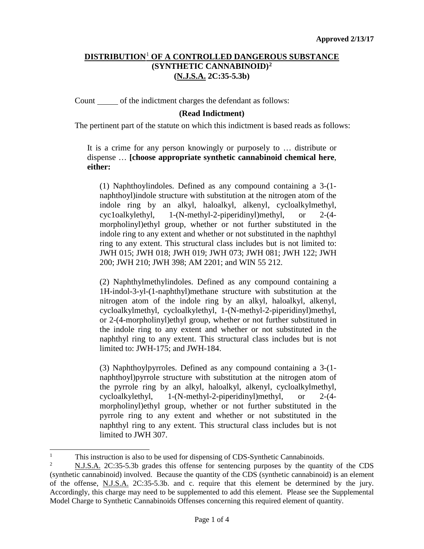## **DISTRIBUTION**[1](#page-0-0) **OF A CONTROLLED DANGEROUS SUBSTANCE (SYNTHETIC CANNABINOID)[2](#page-0-1) (N.J.S.A. 2C:35-5.3b)**

Count of the indictment charges the defendant as follows:

## **(Read Indictment)**

The pertinent part of the statute on which this indictment is based reads as follows:

It is a crime for any person knowingly or purposely to … distribute or dispense … **[choose appropriate synthetic cannabinoid chemical here**, **either:**

(1) Naphthoylindoles. Defined as any compound containing a 3-(1 naphthoyl)indole structure with substitution at the nitrogen atom of the indole ring by an alkyl, haloalkyl, alkenyl, cycloalkylmethyl, cyc1oalkylethyl, 1-(N-methyl-2-piperidinyl)methyl, or 2-(4 morpholinyl)ethyl group, whether or not further substituted in the indole ring to any extent and whether or not substituted in the naphthyl ring to any extent. This structural class includes but is not limited to: JWH 015; JWH 018; JWH 019; JWH 073; JWH 081; JWH 122; JWH 200; JWH 210; JWH 398; AM 2201; and WIN 55 212.

(2) Naphthylmethylindoles. Defined as any compound containing a 1H-indol-3-yl-(1-naphthyl)methane structure with substitution at the nitrogen atom of the indole ring by an alkyl, haloalkyl, alkenyl, cycloalkylmethyl, cycloalkylethyl, 1-(N-methyl-2-piperidinyl)methyl, or 2-(4-morpholinyl)ethyl group, whether or not further substituted in the indole ring to any extent and whether or not substituted in the naphthyl ring to any extent. This structural class includes but is not limited to: JWH-175; and JWH-184.

(3) Naphthoylpyrroles. Defined as any compound containing a 3-(1 naphthoyl)pyrrole structure with substitution at the nitrogen atom of the pyrrole ring by an alkyl, haloalkyl, alkenyl, cycloalkylmethyl, cycloalkylethyl, 1-(N-methyl-2-piperidinyl)methyl, or 2-(4 morpholinyl)ethyl group, whether or not further substituted in the pyrrole ring to any extent and whether or not substituted in the naphthyl ring to any extent. This structural class includes but is not limited to JWH 307.

<sup>|&</sup>lt;br>|<br>| This instruction is also to be used for dispensing of CDS-Synthetic Cannabinoids.<br>
N I S A 2C:25.5.2b grades this offense for contanging purposes by the quant

<span id="page-0-1"></span><span id="page-0-0"></span><sup>2</sup> N.J.S.A. 2C:35-5.3b grades this offense for sentencing purposes by the quantity of the CDS (synthetic cannabinoid) involved. Because the quantity of the CDS (synthetic cannabinoid) is an element of the offense, N.J.S.A. 2C:35-5.3b. and c. require that this element be determined by the jury. Accordingly, this charge may need to be supplemented to add this element. Please see the Supplemental Model Charge to Synthetic Cannabinoids Offenses concerning this required element of quantity.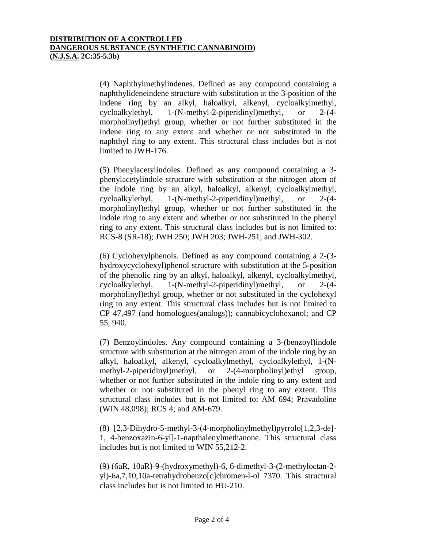(4) Naphthylmethylindenes. Defined as any compound containing a naphthylideneindene structure with substitution at the 3-position of the indene ring by an alkyl, haloalkyl, alkenyl, cycloalkylmethyl, cycloalkylethyl, 1-(N-methyl-2-piperidinyl)methyl, or 2-(4 morpholinyl)ethyl group, whether or not further substituted in the indene ring to any extent and whether or not substituted in the naphthyl ring to any extent. This structural class includes but is not limited to JWH-176.

(5) Phenylacetylindoles. Defined as any compound containing a 3 phenylacetylindole structure with substitution at the nitrogen atom of the indole ring by an alkyl, haloalkyl, alkenyl, cycloalkylmethyl, cycloalkylethyl, 1-(N-methyl-2-piperidinyl)methyl, or 2-(4 morpholinyl)ethyl group, whether or not further substituted in the indole ring to any extent and whether or not substituted in the phenyl ring to any extent. This structural class includes but is not limited to: RCS-8 (SR-18); JWH 250; JWH 203; JWH-251; and JWH-302.

(6) Cyclohexylphenols. Defined as any compound containing a 2-(3 hydroxycyclohexyl)phenol structure with substitution at the 5-position of the phenolic ring by an alkyl, haloalkyl, alkenyl, cycloalkylmethyl, cycloalkylethyl, 1-(N-methyl-2-piperidinyl)methyl, or 2-(4 morpholinyl)ethyl group, whether or not substituted in the cyclohexyl ring to any extent. This structural class includes but is not limited to CP 47,497 (and homologues(analogs)); cannabicyclohexanol; and CP 55, 940.

(7) Benzoylindoles. Any compound containing a 3-(benzoyl)indole structure with substitution at the nitrogen atom of the indole ring by an alkyl, haloalkyl, alkenyl, cycloalkylmethyl, cycloalkylethyl, 1-(Nmethyl-2-piperidinyl)methyl, or 2-(4-morpholinyl)ethyl group, whether or not further substituted in the indole ring to any extent and whether or not substituted in the phenyl ring to any extent. This structural class includes but is not limited to: AM 694; Pravadoline (WIN 48,098); RCS 4; and AM-679.

(8) [2,3-Dihydro-5-methyl-3-(4-morpholinylmethyl)pyrrolo[1,2,3-de]- 1, 4-benzoxazin-6-yl]-1-napthalenylmethanone. This structural class includes but is not limited to WIN 55,212-2.

(9) (6aR, 10aR)-9-(hydroxymethyl)-6, 6-dimethyl-3-(2-methyloctan-2 yl)-6a,7,10,10a-tetrahydrobenzo[c]chromen-l-ol 7370. This structural class includes but is not limited to HU-210.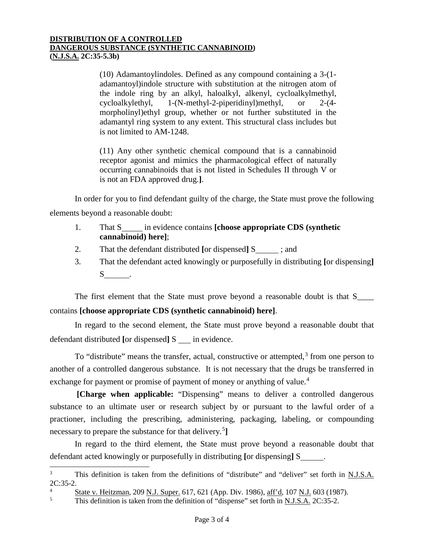## **DISTRIBUTION OF A CONTROLLED DANGEROUS SUBSTANCE (SYNTHETIC CANNABINOID) (N.J.S.A. 2C:35-5.3b)**

(10) Adamantoylindoles. Defined as any compound containing a 3-(1 adamantoyl)indole structure with substitution at the nitrogen atom of the indole ring by an alkyl, haloalkyl, alkenyl, cycloalkylmethyl, cycloalkylethyl, 1-(N-methyl-2-piperidinyl)methyl, or 2-(4 morpholinyl)ethyl group, whether or not further substituted in the adamantyl ring system to any extent. This structural class includes but is not limited to AM-1248.

(11) Any other synthetic chemical compound that is a cannabinoid receptor agonist and mimics the pharmacological effect of naturally occurring cannabinoids that is not listed in Schedules II through V or is not an FDA approved drug.**]**.

In order for you to find defendant guilty of the charge, the State must prove the following elements beyond a reasonable doubt:

- 1. That S in evidence contains **[choose appropriate CDS (synthetic cannabinoid) here]**;
- 2. That the defendant distributed **[**or dispensed**]** S ; and
- 3. That the defendant acted knowingly or purposefully in distributing **[**or dispensing**]** S .

The first element that the State must prove beyond a reasonable doubt is that S\_\_\_\_ contains **[choose appropriate CDS (synthetic cannabinoid) here]**.

In regard to the second element, the State must prove beyond a reasonable doubt that defendant distributed **[**or dispensed**]** S in evidence.

To "distribute" means the transfer, actual, constructive or attempted,  $3$  from one person to another of a controlled dangerous substance. It is not necessary that the drugs be transferred in exchange for payment or promise of payment of money or anything of value.<sup>[4](#page-2-1)</sup>

**[Charge when applicable:** "Dispensing" means to deliver a controlled dangerous substance to an ultimate user or research subject by or pursuant to the lawful order of a practioner, including the prescribing, administering, packaging, labeling, or compounding necessary to prepare the substance for that delivery. [5](#page-2-2) **]**

In regard to the third element, the State must prove beyond a reasonable doubt that defendant acted knowingly or purposefully in distributing **[**or dispensing**]** S .

<span id="page-2-0"></span><sup>&</sup>lt;sup>3</sup> This definition is taken from the definitions of "distribute" and "deliver" set forth in N.J.S.A. 2C:35-2.

<span id="page-2-1"></span> $\frac{4}{5}$  State v. Heitzman, 209 N.J. Super. 617, 621 (App. Div. 1986), aff'd, 107 N.J. 603 (1987).

<span id="page-2-2"></span>This definition is taken from the definition of "dispense" set forth in N.J.S.A. 2C:35-2.